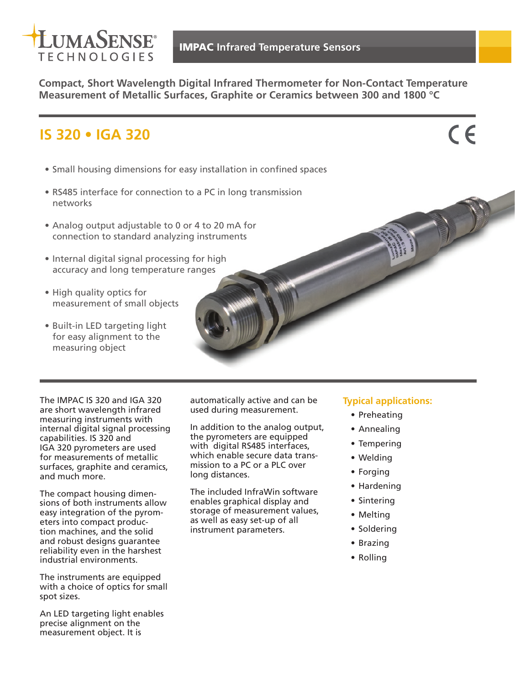

**Compact, Short Wavelength Digital Infrared Thermometer for Non-Contact Temperature Measurement of Metallic Surfaces, Graphite or Ceramics between 300 and 1800 °C**

# **IS 320 • IGA 320**

 $C \in$ 

- Small housing dimensions for easy installation in confined spaces
- RS485 interface for connection to a PC in long transmission networks
- Analog output adjustable to 0 or 4 to 20 mA for connection to standard analyzing instruments
- Internal digital signal processing for high accuracy and long temperature ranges
- High quality optics for measurement of small objects
- Built-in LED targeting light for easy alignment to the measuring object

The IMPAC IS 320 and IGA 320 are short wavelength infrared measuring instruments with internal digital signal processing capabilities. IS 320 and IGA 320 pyrometers are used for measurements of metallic surfaces, graphite and ceramics, and much more.

The compact housing dimensions of both instruments allow easy integration of the pyrometers into compact production machines, and the solid and robust designs guarantee reliability even in the harshest industrial environments.

The instruments are equipped with a choice of optics for small spot sizes.

An LED targeting light enables precise alignment on the measurement object. It is

automatically active and can be used during measurement.

In addition to the analog output, the pyrometers are equipped with digital RS485 interfaces, which enable secure data transmission to a PC or a PLC over long distances.

The included InfraWin software enables graphical display and storage of measurement values, as well as easy set-up of all instrument parameters.

### **Typical applications:**

- Preheating
- Annealing
- Tempering
- Welding
- Forging
- Hardening
- Sintering
- Melting
- Soldering
- Brazing
- Rolling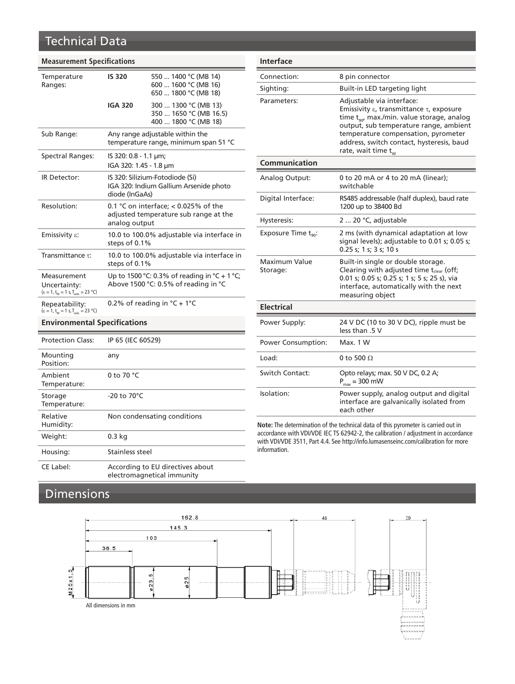### Technical Data

#### **Measurement Specifications**

| Temperature<br>Ranges:                                                                          | <b>IS 320</b>                                                                                    | 550  1400 °C (MB 14)<br>600  1600 °C (MB 16)<br>650  1800 °C (MB 18)   |  |  |
|-------------------------------------------------------------------------------------------------|--------------------------------------------------------------------------------------------------|------------------------------------------------------------------------|--|--|
|                                                                                                 | <b>IGA 320</b>                                                                                   | 300  1300 °C (MB 13)<br>350  1650 °C (MB 16.5)<br>400  1800 °C (MB 18) |  |  |
| Sub Range:                                                                                      | Any range adjustable within the<br>temperature range, minimum span 51 °C                         |                                                                        |  |  |
| Spectral Ranges:                                                                                | IS 320: 0.8 - 1.1 $\mu$ m;<br>IGA 320: 1.45 - 1.8 µm                                             |                                                                        |  |  |
| IR Detector:                                                                                    | IS 320: Silizium-Fotodiode (Si)<br>IGA 320: Indium Gallium Arsenide photo<br>diode (InGaAs)      |                                                                        |  |  |
| Resolution:                                                                                     | 0.1 °C on interface; $<$ 0.025% of the<br>adjusted temperature sub range at the<br>analog output |                                                                        |  |  |
| Emissivity $\varepsilon$ :                                                                      | 10.0 to 100.0% adjustable via interface in<br>steps of 0.1%                                      |                                                                        |  |  |
| Transmittance $\tau$ :                                                                          | 10.0 to 100.0% adjustable via interface in<br>steps of 0.1%                                      |                                                                        |  |  |
| Measurement<br>Uncertainty:<br>$(\epsilon = 1, t_{.90} = 1 \text{ s}, T_{.20} = 23 \text{ °C})$ | Up to 1500 °C: 0.3% of reading in °C + 1 °C;<br>Above 1500 °C: 0.5% of reading in °C             |                                                                        |  |  |
| Repeatability:<br>$(\epsilon = 1, t_{\text{on}} = 1 \text{ s}, T_{\text{amb}} = 23 \text{ °C})$ | 0.2% of reading in $°C + 1°C$                                                                    |                                                                        |  |  |
| <b>Environmental Specifications</b>                                                             |                                                                                                  |                                                                        |  |  |
| <b>Protection Class:</b>                                                                        | IP 65 (IEC 60529)                                                                                |                                                                        |  |  |
| Mounting<br>Position:                                                                           | any                                                                                              |                                                                        |  |  |

0 to 70 °C

-20 to 70°C

CE Label: According to EU directives about

Non condensating conditions

electromagnetical immunity

| Interface                        |                                                                                                                                                                                                                                                                                                       |
|----------------------------------|-------------------------------------------------------------------------------------------------------------------------------------------------------------------------------------------------------------------------------------------------------------------------------------------------------|
| Connection:                      | 8 pin connector                                                                                                                                                                                                                                                                                       |
| Sighting:                        | Built-in LED targeting light                                                                                                                                                                                                                                                                          |
| Parameters:                      | Adjustable via interface:<br>Emissivity $\varepsilon$ , transmittance $\tau$ , exposure<br>time t <sub>oo</sub> , max./min. value storage, analog<br>output, sub temperature range, ambient<br>temperature compensation, pyrometer<br>address, switch contact, hysteresis, baud<br>rate, wait time tw |
| Communication                    |                                                                                                                                                                                                                                                                                                       |
| Analog Output:                   | 0 to 20 mA or 4 to 20 mA (linear);<br>switchable                                                                                                                                                                                                                                                      |
| Digital Interface:               | RS485 addressable (half duplex), baud rate<br>1200 up to 38400 Bd                                                                                                                                                                                                                                     |
| Hysteresis:                      | 2  20 °C, adjustable                                                                                                                                                                                                                                                                                  |
| Exposure Time $t_{90}$ :         | 2 ms (with dynamical adaptation at low<br>signal levels); adjustable to 0.01 s; 0.05 s;<br>0.25 s; 1 s; 3 s; 10 s                                                                                                                                                                                     |
| <b>Maximum Value</b><br>Storage: | Built-in single or double storage.<br>Clearing with adjusted time t <sub>clear</sub> (off;<br>0.01 s; 0.05 s; 0.25 s; 1 s; 5 s; 25 s), via<br>interface, automatically with the next<br>measuring object                                                                                              |
| Electrical                       |                                                                                                                                                                                                                                                                                                       |
| Power Supply:                    | 24 V DC (10 to 30 V DC), ripple must be<br>less than .5 V                                                                                                                                                                                                                                             |
| <b>Power Consumption:</b>        | Max. 1 W                                                                                                                                                                                                                                                                                              |
| Load:                            | 0 to 500 $\Omega$                                                                                                                                                                                                                                                                                     |
| Switch Contact:                  | Opto relays; max. 50 V DC, 0.2 A;<br>$P_{max}$ = 300 mW                                                                                                                                                                                                                                               |
| Isolation:                       | Power supply, analog output and digital<br>interface are galvanically isolated from<br>each other                                                                                                                                                                                                     |

**Note:** The determination of the technical data of this pyrometer is carried out in accordance with VDI/VDE IEC TS 62942-2, the calibration / adjustment in accordance with VDI/VDE 3511, Part 4.4. See http://info.lumasenseinc.com/calibration for more information.

### Dimensions

Weight: 0.3 kg

Housing: Stainless steel

Ambient Temperature:

Storage Temperature:

Relative Humidity:

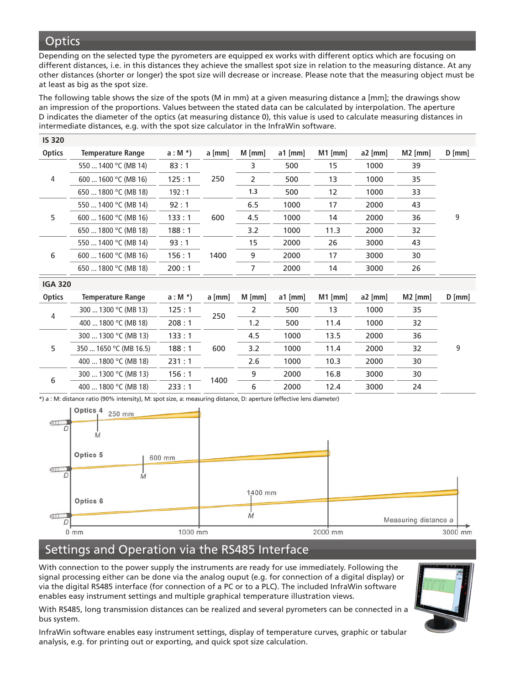### **Optics**

Depending on the selected type the pyrometers are equipped ex works with different optics which are focusing on different distances, i.e. in this distances they achieve the smallest spot size in relation to the measuring distance. At any other distances (shorter or longer) the spot size will decrease or increase. Please note that the measuring object must be at least as big as the spot size.

The following table shows the size of the spots (M in mm) at a given measuring distance a [mm]; the drawings show an impression of the proportions. Values between the stated data can be calculated by interpolation. The aperture D indicates the diameter of the optics (at measuring distance 0), this value is used to calculate measuring distances in intermediate distances, e.g. with the spot size calculator in the InfraWin software.

| <b>IS 320</b>  |                          |          |          |                |           |           |           |           |          |
|----------------|--------------------------|----------|----------|----------------|-----------|-----------|-----------|-----------|----------|
| <b>Optics</b>  | <b>Temperature Range</b> | $a: M^*$ | $a$ [mm] | $M$ [mm]       | $a1$ [mm] | $M1$ [mm] | $a2$ [mm] | $M2$ [mm] | $D$ [mm] |
| 4              | 550  1400 °C (MB 14)     | 83:1     | 250      | 3              | 500       | 15        | 1000      | 39        | 9        |
|                | 600  1600 °C (MB 16)     | 125:1    |          | 2              | 500       | 13        | 1000      | 35        |          |
|                | 650  1800 °C (MB 18)     | 192:1    |          | 1.3            | 500       | 12        | 1000      | 33        |          |
| 5              | 550  1400 °C (MB 14)     | 92:1     | 600      | 6.5            | 1000      | 17        | 2000      | 43        |          |
|                | 600  1600 °C (MB 16)     | 133:1    |          | 4.5            | 1000      | 14        | 2000      | 36        |          |
|                | 650  1800 °C (MB 18)     | 188:1    |          | 3.2            | 1000      | 11.3      | 2000      | 32        |          |
| 6              | 550  1400 °C (MB 14)     | 93:1     | 1400     | 15             | 2000      | 26        | 3000      | 43        |          |
|                | 600  1600 °C (MB 16)     | 156:1    |          | 9              | 2000      | 17        | 3000      | 30        |          |
|                | 650  1800 °C (MB 18)     | 200:1    |          | $\overline{7}$ | 2000      | 14        | 3000      | 26        |          |
| <b>IGA 320</b> |                          |          |          |                |           |           |           |           |          |
| <b>Optics</b>  | <b>Temperature Range</b> | $a: M^*$ | $a$ [mm] | $M$ [mm]       | $a1$ [mm] | $M1$ [mm] | $a2$ [mm] | $M2$ [mm] | $D$ [mm] |
| 4              | 300  1300 °C (MB 13)     | 125:1    | 250      | $\overline{2}$ | 500       | 13        | 1000      | 35        |          |
|                | 400  1800 °C (MB 18)     | 208:1    |          | 1.2            | 500       | 11.4      | 1000      | 32        |          |
| 5              | 300  1300 °C (MB 13)     | 133:1    | 600      | 4.5            | 1000      | 13.5      | 2000      | 36        |          |
|                | 350  1650 °C (MB 16.5)   | 188:1    |          | 3.2            | 1000      | 11.4      | 2000      | 32        | 9        |
|                | 400  1800 °C (MB 18)     | 231:1    |          | 2.6            | 1000      | 10.3      | 2000      | 30        |          |
| 6              | 300  1300 °C (MB 13)     | 156:1    | 1400     | 9              | 2000      | 16.8      | 3000      | 30        |          |
|                | 400  1800 °C (MB 18)     | 233:1    |          | 6              | 2000      | 12.4      | 3000      | 24        |          |

\*) a : M: distance ratio (90% intensity), M: spot size, a: measuring distance, D: aperture (effective lens diameter)



## Settings and Operation via the RS485 Interface

With connection to the power supply the instruments are ready for use immediately. Following the signal processing either can be done via the analog ouput (e.g. for connection of a digital display) or via the digital RS485 interface (for connection of a PC or to a PLC). The included InfraWin software enables easy instrument settings and multiple graphical temperature illustration views.



With RS485, long transmission distances can be realized and several pyrometers can be connected in a bus system.

InfraWin software enables easy instrument settings, display of temperature curves, graphic or tabular analysis, e.g. for printing out or exporting, and quick spot size calculation.